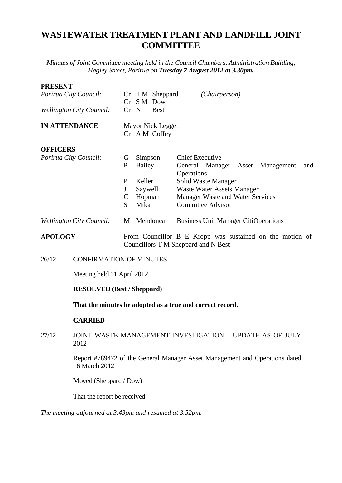## **WASTEWATER TREATMENT PLANT AND LANDFILL JOINT COMMITTEE**

*Minutes of Joint Committee meeting held in the Council Chambers, Administration Building, Hagley Street, Porirua on Tuesday 7 August 2012 at 3.30pm.*

## **PRESENT**

| 1 INCOCATI                      |                                                                                              |                                                                                                 |                                            |                              |                                                              |  |
|---------------------------------|----------------------------------------------------------------------------------------------|-------------------------------------------------------------------------------------------------|--------------------------------------------|------------------------------|--------------------------------------------------------------|--|
| Porirua City Council:           |                                                                                              |                                                                                                 |                                            | Cr TM Sheppard<br>Cr S M Dow | (Chairperson)                                                |  |
| <b>Wellington City Council:</b> |                                                                                              |                                                                                                 | Cr N                                       | <b>Best</b>                  |                                                              |  |
| <b>IN ATTENDANCE</b>            |                                                                                              |                                                                                                 | <b>Mayor Nick Leggett</b><br>Cr A M Coffey |                              |                                                              |  |
| <b>OFFICERS</b>                 |                                                                                              |                                                                                                 |                                            |                              |                                                              |  |
| Porirua City Council:           |                                                                                              | G                                                                                               | Simpson                                    |                              | <b>Chief Executive</b>                                       |  |
|                                 |                                                                                              | $\mathbf{P}$                                                                                    | Bailey                                     |                              | General Manager Asset Management<br>and<br>Operations        |  |
|                                 |                                                                                              | $\mathbf{P}$                                                                                    | Keller                                     |                              | Solid Waste Manager                                          |  |
|                                 |                                                                                              | J                                                                                               | Saywell                                    |                              | <b>Waste Water Assets Manager</b>                            |  |
|                                 |                                                                                              | $\mathbf C$<br>S.                                                                               | Hopman<br>Mika                             |                              | Manager Waste and Water Services<br><b>Committee Advisor</b> |  |
|                                 |                                                                                              |                                                                                                 |                                            |                              |                                                              |  |
| <b>Wellington City Council:</b> |                                                                                              |                                                                                                 | M Mendonca                                 |                              | <b>Business Unit Manager CitiOperations</b>                  |  |
| <b>APOLOGY</b>                  |                                                                                              | From Councillor B E Kropp was sustained on the motion of<br>Councillors T M Sheppard and N Best |                                            |                              |                                                              |  |
| 26/12                           | <b>CONFIRMATION OF MINUTES</b>                                                               |                                                                                                 |                                            |                              |                                                              |  |
|                                 | Meeting held 11 April 2012.                                                                  |                                                                                                 |                                            |                              |                                                              |  |
|                                 | <b>RESOLVED</b> (Best / Sheppard)                                                            |                                                                                                 |                                            |                              |                                                              |  |
|                                 |                                                                                              |                                                                                                 |                                            |                              | That the minutes be adopted as a true and correct record.    |  |
|                                 | <b>CARRIED</b>                                                                               |                                                                                                 |                                            |                              |                                                              |  |
| 27/12                           | JOINT WASTE MANAGEMENT INVESTIGATION - UPDATE AS OF JULY<br>2012                             |                                                                                                 |                                            |                              |                                                              |  |
|                                 | Report #789472 of the General Manager Asset Management and Operations dated<br>16 March 2012 |                                                                                                 |                                            |                              |                                                              |  |
|                                 | Moved (Sheppard / Dow)                                                                       |                                                                                                 |                                            |                              |                                                              |  |

That the report be received

*The meeting adjourned at 3.43pm and resumed at 3.52pm.*